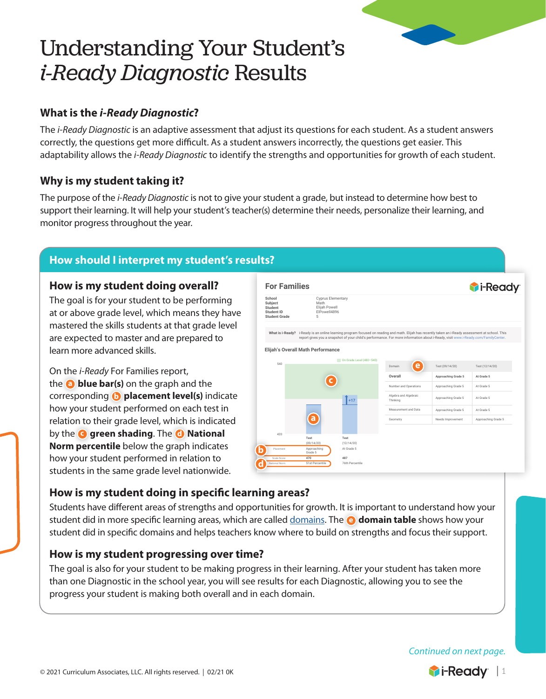# Understanding Your Student's *i-Ready Diagnostic* Results

# **What is the** *i-Ready Diagnostic***?**

The *i-Ready Diagnostic* is an adaptive assessment that adjust its questions for each student. As a student answers correctly, the questions get more difficult. As a student answers incorrectly, the questions get easier. This adaptability allows the *i-Ready Diagnostic* to identify the strengths and opportunities for growth of each student.

## **Why is my student taking it?**

The purpose of the *i-Ready Diagnostic* is not to give your student a grade, but instead to determine how best to support their learning. It will help your student's teacher(s) determine their needs, personalize their learning, and monitor progress throughout the year.

## **How should I interpret my student's results?**

#### **How is my student doing overall?**

The goal is for your student to be performing at or above grade level, which means they have mastered the skills students at that grade level are expected to master and are prepared to learn more advanced skills.

On the *i-Ready* For Families report, the **a blue bar(s)** on the graph and the corresponding **b placement level(s)** indicate how your student performed on each test in relation to their grade level, which is indicated by the **c green shading**. The **d National Norm percentile** below the graph indicates how your student performed in relation to students in the same grade level nationwide.



© Curriculum Associates, LLC, All Rights Reserved. | **i-Ready.com 05/03/19** | Page: **1/1**

## How is my student doing in specific learning areas?

Students have different areas of strengths and opportunities for growth. It is important to understand how your  $\;\;\;|$ student did in more specific learning areas, which are called [domains](https://i-readycentral.com/download/?res=16754&view_pdf=1). The **@ domain table** shows how your student did in specific domains and helps teachers know where to build on strengths and focus their support.  $\qquad \vert$ grade level who took the test at the same time of year. For example, a

## **How is my student progressing over time?**

The goal is also for your student to be making progress in their learning. After your student has taken more than one Diagnostic in the school year, you will see results for each Diagnostic, allowing you to see the progress your student is making both overall and in each domain.

*Continued on next page.*

Ask your student's teacher for additional insight into Elijah's progress and to

student who has a Norm of 60% on the test scored better than 60% of a